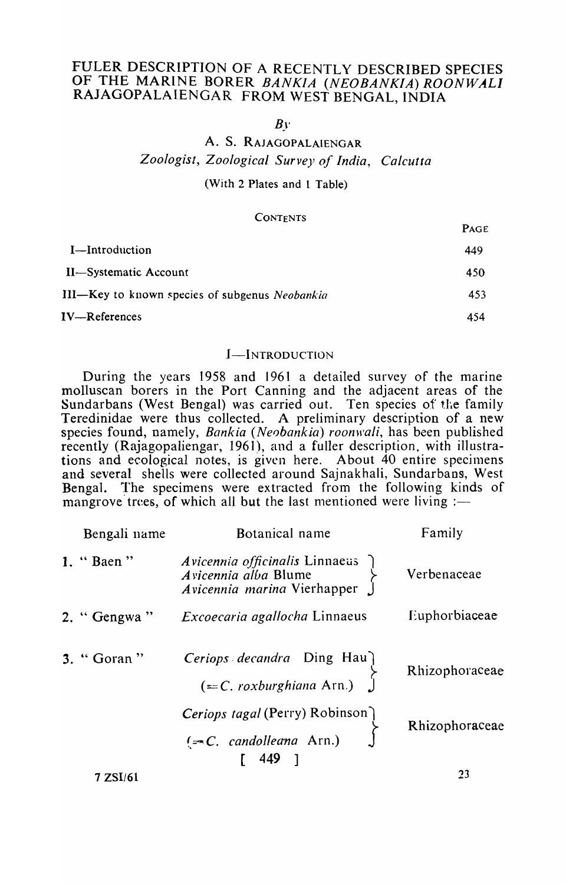# FULER DESCRIPTION OF A RECENTLY DESCRIBED SPECIES OF THE MARINE BORER *BANKIA (NEOBANKIA) ROONWALI*  RAJAGOPALAIENGAR FROM WEST BENGAL, INDIA

 $B<sub>V</sub>$ 

# A. S. RAJAGOPALAIENGAR *Zoologist, Zoological Survey of India, Calcutta*

(With 2 Plates and 1 Table)

### **CONTENTS**

| 1 AV L |
|--------|
| 449    |
| 450    |
| 453    |
| 454    |
|        |

## I-INTRODUCTION

During the years 1958 and 1961 a detailed survey of the marine molluscan borers in the Port Canning and the adjacent areas of the Sundarbans (West Bengal) was carried out. Ten species of the family Teredinidae were thus collected. A preliminary description of a new species found, namely, *Bankia (Neobankia) roonwali*, has been published recently (Rajagopaliengar, 1961), and a fuller description, with illustrations and ecological notes, is given here. About  $40$  entire specimens and several shells were collected around Sajnakhali, Sundarbans, West Bengal. The specimens were extracted from the following kinds of mangrove trees, of which all but the last mentioned were living :-

| Bengali name | Botanical name                                                                        | Family         |
|--------------|---------------------------------------------------------------------------------------|----------------|
| 1. "Baen"    | Avicennia officinalis Linnaeus<br>Avicennia alba Blume<br>Avicennia marina Vierhapper | Verbenaceae    |
| 2. "Gengwa"  | Excoecaria agallocha Linnaeus                                                         | Euphorbiaceae  |
| 3. "Goran"   | Ceriops decandra Ding Hau<br>$(=-C. roxburghiana Arn.)$                               | Rhizophoraceae |
|              | Ceriops tagal (Perry) Robinson<br>$(\equiv C. \quad \text{candolleana Ann.)}$         | Rhizophoraceae |
| 7 ZSI/61     | $\begin{bmatrix} 449 \end{bmatrix}$                                                   | 23             |

 $\mathbf{D} \Lambda$ gr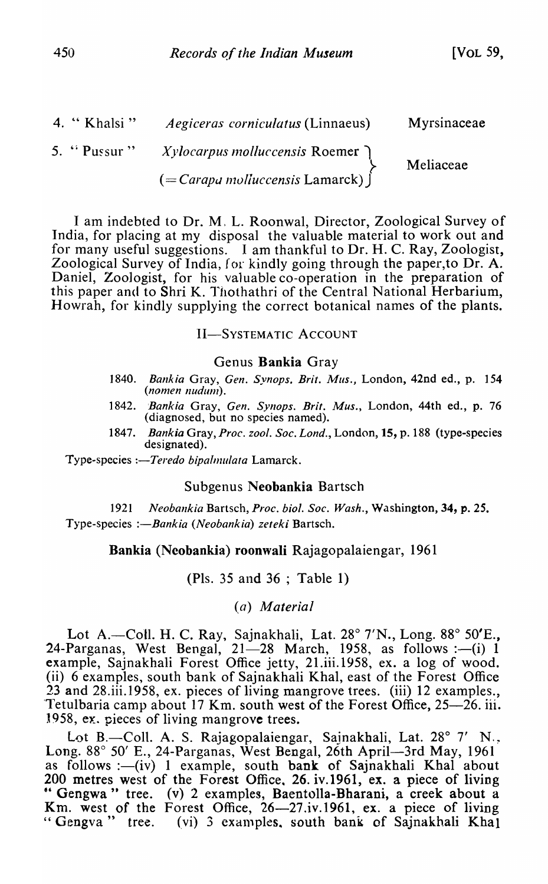| 4. $\cdot$ Khalsi "       | <i>Aegiceras corniculatus</i> (Linnaeus)        | Myrsinaceae |
|---------------------------|-------------------------------------------------|-------------|
| 5. $\cdot$ Pussur $\cdot$ | <i>Xylocarpus molluccensis</i> Roemer $\bigcap$ | Meliaceae   |
|                           | $\mathcal{L} =$ Carapa molluccensis Lamarck)    |             |

I am indebted to Dr. M. L. Roonwal, Director, Zoological Survey of India, for placing at my disposal the valuable material to work out and for many useful suggestions. I am thankful to Dr. H. C. Ray, Zoologist, Zoological Survey of India, for kindly going through the paper,to Dr. A. Daniel, Zoologist, for his valuable co-operation in the preparation of this paper and to Shri K. Thothathri of the Central National Herbarium, Howrah, for kindly supplying the correct botanical names of the plants.

II-SYSTEMATIC ACCOUNT

### Genus Bankia Gray

- 1840. *Bankia* Gray, *Gen. Synops. Brit. Mus.,* London, 42nd ed., p. 154 (nomen nudum).
- 1842. *:Bankia* Gray, *Gen. Synops. Brit. Mus.,* London, 44th ed., p. 76 (diagnosed, but no species named).
- 1847. *Bankia* Gray, *Proc. zool. Soc. Lond.,* London, 15, p. 188 (type-species designated).

Type-species *:-Teredo bipalmulata* Lamarck.

### Subgenus Neobankia Bartsch

1921 *Neobankia* Bartsch, *Proc. bioi. Soc. Wash.,* Washington, 34, p. 25. Type-species *:-Bankia (Neobankia) zeteki* Bartsch.

## Bankia (Ncobankia) roonwali Rajagopalaiengar, 1961

(PIs. 35 and 36 ; Table 1)

## *(a) Material*

Lot A.-Coll. H. C. Ray, Sajnakhali, Lat. 28° 7'N., Long. 88° 50'E., 24-Parganas, West Bengal,  $21-28$  March, 1958, as follows : $-(i)$  1 example, Sajnakhali Forest Office jetty, 21.iii.1958, ex. a log of wood. (ii) 6 examples, south bank of Sajnakhali Khal, east of the Forest Office 23 and 28.iii.l958, ex. pieces of living mangrove trees. (iii) 12 examples., Tetulbaria camp about 17 Km. south west of the Forest Office, 25–26. iii. 1958, ex. pieces of living mangrove trees.

Lot B.-Coll. A. S. Rajagopalaiengar, Sajnakhali, Lat.  $28^{\circ}$  7' N., Long. 88° 50' E., 24-Parganas, West Bengal, 26th April—3rd May, 1961 as follows :--(iv) 1 example, south bank of Sajnakhali Khal about 200 metres west of the Forest Office, 26. iv.1961, ex. a piece of living " Gengwa " tree. (v) 2 examples, Baentolla-Bharani, a creek about a Km. west of the Forest Office, 26-27.iv.1961, ex. a piece of living " Gengva " tree. (vi) 3 examples, south bank of Sajnakhali Khal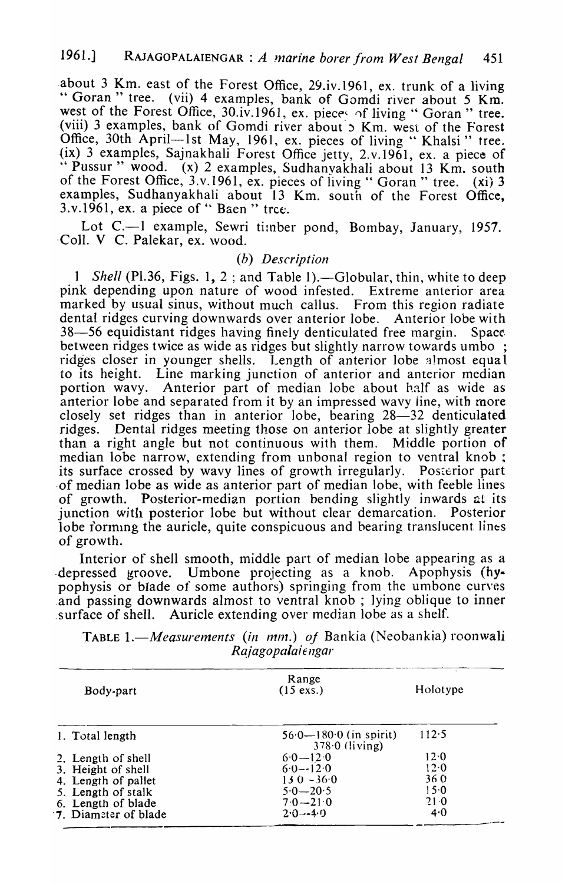about 3 Km. east of the Forest Office, 29.iv.1961, ex. trunk of a living " Goran " tree. (vii) 4 examples, bank of Gomdi river about 5 Km. west of the Forest Office,  $30.\dot{v}$ .1961, ex. piece of living " Goran " tree. (viii) 3 examples, bank of Gomdi river about 5 Km. west of the Forest Office, 30th April-1st May, 1961, ex. pieces of living "Khalsi" tree. (ix) 3 examples, Sajnakhali Forest Office jetty, 2.v.1961, ex. a piece of<br>"Pussur" wood. (x) 2 examples, Sudhanyakhali about 13 Km, south  $(x)$  2 examples, Sudhanyakhali about 13 Km. south of the Forest Office, 3.v.I96I, ex. pieces of living "Goran" tree. (xi) 3 examples, Sudhanyakhali about 13 Km. south of the Forest Office,  $3. v.1961$ , ex. a piece of "Baen" trce.

Lot C.—1 example, Sewri timber pond, Bombay, January, 1957. Coll. V C. Palekar, ex. wood.

# *(b) Description*

1 Shell (Pl.36, Figs. 1, 2; and Table 1). - Globular, thin, white to deep pink depending upon nature of wood infested. Extreme anterior area marked by usual sinus, without much callus. From this region radiate dental ridges curving downwards over anterior lobe. Anterior lobe with 38-56 equidistant ridges having finely denticulated free margin. Space. between ridges twice as wide as ridges but slightly narrow towards umbo ; ridges closer in younger shells. Length of anterior lobe almost equa 1 to its height. Line marking junction of anterior and anterior median portion wavy. Anterior part of median lobe about half as wide as anterior lobe and separated from it by an impressed wavy iine, with more closely set ridges than in anterior lobe, bearing 28–32 denticulated ridges. Dental ridges meeting those on anterior lobe at slightly greater than a right angle but not continuous with them. Middle portion of median lobe narrow, extending from unbonal region to ventral knob; its surface crossed by wavy lines of growth irregularly. Posterior part ·of median lobe as wide as anterior part of median lobe, with feeble lines of growth. Posterior-median portion bending slightly inwards at its junction with posterior lobe but without clear demarcation. Posterior lobe forming the auricle, quite conspicuous and bearing translucent lines of growth.

Interior of shell smooth, middle part of median lobe appearing as a .depressed groove. Umbone projecting as a knob. Apophysis (hypophysis or blade of some authors) springing from the umbone curves .and passing downwards almost to ventral knob; lying oblique to inner .surface of shell. Auricle extending over median lobe as a shelf.

TABLE 1.—*Measurements* (in mm.) of Bankia (Neobankia) roonwali R *ajagopala it* I1gar

| Body-part            | Range<br>$(15 \text{ exs.})$                   | Holotype |
|----------------------|------------------------------------------------|----------|
| 1. Total length      | $56.0 - 180.0$ (in spirit)<br>$378.0$ (living) | 112.5    |
| 2. Length of shell   | $6.0 - 12.0$                                   | 12.0     |
| 3. Height of shell   | $6.0 - 12.0$                                   | 12.0     |
| 4. Length of pallet  | $130 - 360$                                    | 360      |
| 5. Length of stalk   | $5.0 - 20.5$                                   | 15.0     |
| 6. Length of blade   | $7.0 - 21.0$                                   | 21.0     |
| 7. Diameter of blade | $2.0 - -4.0$                                   | 4.0      |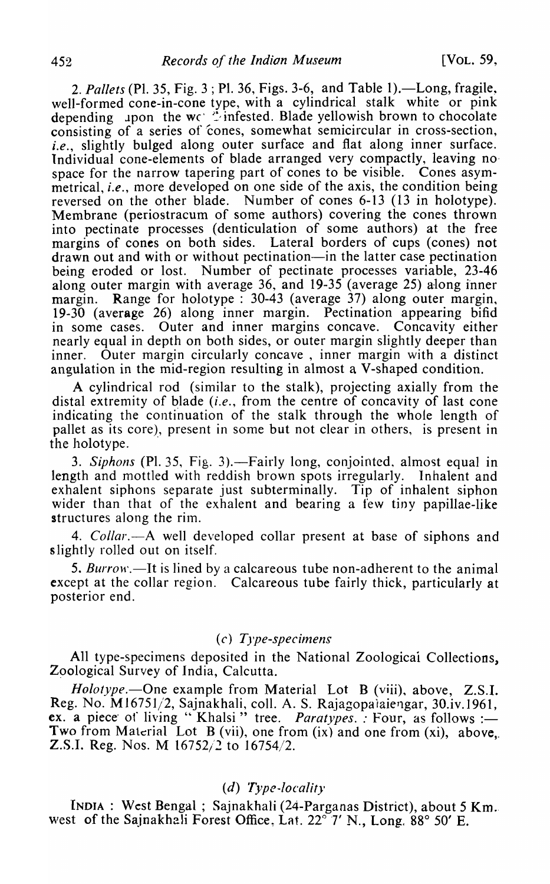2. Pallets (Pl. 35, Fig. 3; Pl. 36, Figs. 3-6, and Table 1).—Long, fragile, well-formed cone-in-cone type, with a cylindrical stalk white or pink depending upon the wet ? infested. Blade yellowish brown to chocolate consisting of a series of 'cones, somewhat semicircular in cross-section, *i.e.,* slightly bulged along outer surface and flat along inner surface. Individual cone-elements of blade arranged very compactly, leaving no space for the narrow tapering part of cones to be visible. Cones asymmetrical, *i.e.,* more developed on one side of the axis, the condition being reversed on the other blade. Number of cones 6-13 (13 in holotype). Membrane (periostracum of some authors) covering the cones thrown into pectinate processes (denticulation of some authors) at the free margins of cones on both sides. Lateral borders of cups (cones) not drawn out and with or without pectination-in the latter case pectination being eroded or lost. Number of pectinate processes variable, 23-46 along outer margin with average 36, and 19-35 (average 25) along inner margin. Range for holotype : 30-43 (average 37) along outer margin, 19-30 (average 26) along inner margin. Pectination appearing bifid in some cases. Outer and inner margins concave. Concavity either nearly equal in depth on both sides, or outer margin slightly deeper than inner. Outer margin circularly concave, inner margin with a distinct angulation in the mid-region resulting in almost a V-shaped condition.

A cylindrical rod (similar to the stalk), projecting axially from the distal extremity of blade (i.e., from the centre of concavity of last cone indicating the continuation of the stalk through the whole length of pallet as its core), present in some but not clear in others, is present in the holotype. .

3. Siphons (Pl. 35, Fig. 3).—Fairly long, conjointed, almost equal in length and mottled with reddish brown spots irregularly. Inhalent and exhalent siphons separate just subterminally. Tip of inhalent siphon wider than that of the exhalent and bearing a few tiny papillae-like structures along the rim.

4. *Collar*.—A well developed collar present at base of siphons and s lightly rolled out on itself.

5. Burrow.—It is lined by a calcareous tube non-adherent to the animal except at the collar region. Calcareous tube fairly thick, particularly at posterior end.

## *(c) Type-specimens*

All type-specimens deposited in the National Zoologicai Collections, Zoological Survey of India, Calcutta.

*Holotype.*—One example from Material Lot B (viii), above, Z.S.I. Reg. No. M16751/2, Sajnakhali, coll. A. S. Rajagopalaiengar, 30.iv.1961, Reg. No. M16/51/2, Sajnakhali, coll. A. S. Rajagopaiaiengar, 30.iv.1961,<br>ex. a piece of living " Khalsi " tree. *Paratypes.*: *Four, as follows* :— Two from Material Lot B (vii), one from (ix) and one from (xi), above, Z.S.I. Reg. Nos. M 16752/2 to 16754/2.

# (d) *Type-locality*

INDIA: West Bengal; Sajnakhali (24-Parganas District), about 5 Km .. west of the Sajnakhali Forest Office, Lat. 22<sup>°</sup> 7' N., Long. 88° 50' E.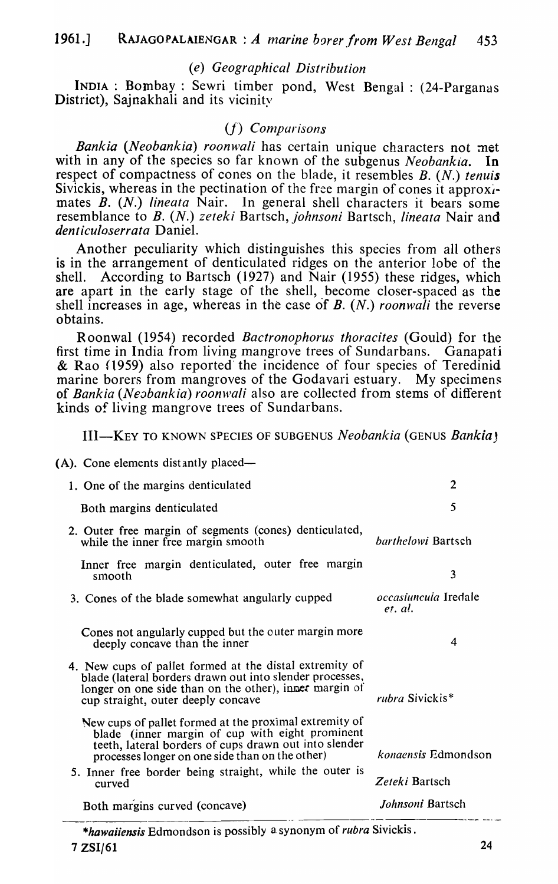# *(e) Geographical Distribution*

INDIA: Bombay: Sewri timber pond, West Bengal: (24-Parganas District), Sajnakhali and its vicinity

# *(f) Comparisons*

*Bankia (Neobankia) roonwali* has certain unique characters not met with in any of the species so far known of the subgenus *Neobankia*. In respect of compactness of cones on the blade, it resembles B. (N.) *tenuis*  Sivickis, whereas in the pectination of the free margin of cones it approximates *B. (N.) lineata* Nair. In general shell characters it bears some resemblance to *B. (N.) zeteki* Bartsch, *johnsoni* Bartsch, *lineata* Nair and *denticuloserrata* Daniel.

Another peculiarity which distinguishes this species from all others is in the arrangement of denticulated ridges on the anterior lobe of the shell. According to Bartsch  $(1927)$  and Nair  $(1955)$  these ridges, which are apart in the early stage of the shell, become closer-spaced as the shell increases in age, whereas in the case of *B. (N.) roonwali* the reverse obtains.

R oonwal (1954) recorded *Bactronophorus thoracites* (Gould) for the first time in India from living mangrove trees of Sundarbans. Ganapati & Rao (1959) also reported the incidence of four species of Teredinid marine borers from mangroves of the Godavari estuary. My specimens of *Bankia (Neabankia) roonwali* also are collected from stems of different kinds of living mangrove trees of Sundarbans.

III-KEY TO KNOWN SPECIES OF SUBGENUS *Neobankia* (GENUS *BankiaJ* 

| 1. One of the margins denticulated                                                                                                                                                                                    | $\overline{2}$                         |  |  |
|-----------------------------------------------------------------------------------------------------------------------------------------------------------------------------------------------------------------------|----------------------------------------|--|--|
| Both margins denticulated                                                                                                                                                                                             | 5                                      |  |  |
| 2. Outer free margin of segments (cones) denticulated,<br>while the inner free margin smooth                                                                                                                          | barthelowi Bartsch                     |  |  |
| Inner free margin denticulated, outer free margin<br>smooth                                                                                                                                                           | $\overline{\mathbf{3}}$                |  |  |
| 3. Cones of the blade somewhat angularly cupped                                                                                                                                                                       | <i>occasiuncuia</i> Iredale<br>et. al. |  |  |
| Cones not angularly cupped but the outer margin more<br>deeply concave than the inner                                                                                                                                 | 4                                      |  |  |
| 4. New cups of pallet formed at the distal extremity of<br>blade (lateral borders drawn out into slender processes,<br>longer on one side than on the other), inner margin of<br>cup straight, outer deeply concave   | rubra Sivickis*                        |  |  |
| New cups of pallet formed at the proximal extremity of<br>blade (inner margin of cup with eight prominent<br>teeth, lateral borders of cups drawn out into slender<br>processes longer on one side than on the other) | <i>kongensis</i> Edmondson             |  |  |
| 5. Inner free border being straight, while the outer is<br>curved                                                                                                                                                     | Zeteki Bartsch                         |  |  |
| Both margins curved (concave)                                                                                                                                                                                         | Johnsoni Bartsch                       |  |  |
| $0 \leq t \leq 0$                                                                                                                                                                                                     |                                        |  |  |

*\*hawaiiensis* Edmondson is possibly a synonym of *rubra* Sivickis .  $7 ZSI/61$  24

<sup>(</sup>A). Cone elements distantly placed—